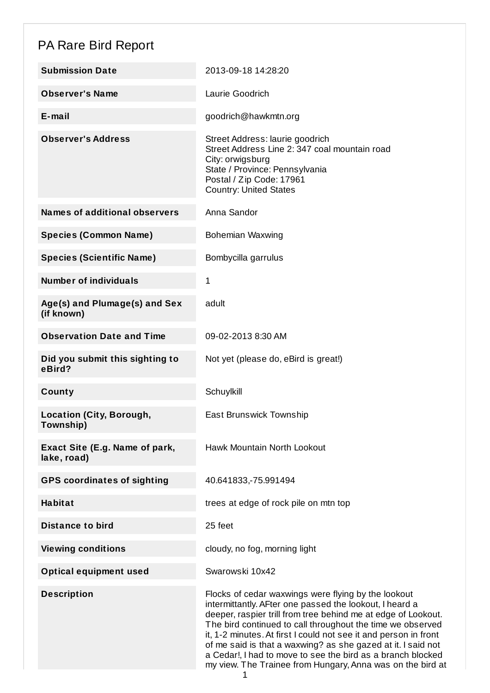## PA Rare Bird Report

| <b>Submission Date</b>                        | 2013-09-18 14:28:20                                                                                                                                                                                                                                                                                                                                                                                                                                                                                            |
|-----------------------------------------------|----------------------------------------------------------------------------------------------------------------------------------------------------------------------------------------------------------------------------------------------------------------------------------------------------------------------------------------------------------------------------------------------------------------------------------------------------------------------------------------------------------------|
| <b>Observer's Name</b>                        | Laurie Goodrich                                                                                                                                                                                                                                                                                                                                                                                                                                                                                                |
| E-mail                                        | goodrich@hawkmtn.org                                                                                                                                                                                                                                                                                                                                                                                                                                                                                           |
| <b>Observer's Address</b>                     | Street Address: laurie goodrich<br>Street Address Line 2: 347 coal mountain road<br>City: orwigsburg<br>State / Province: Pennsylvania<br>Postal / Zip Code: 17961<br><b>Country: United States</b>                                                                                                                                                                                                                                                                                                            |
| <b>Names of additional observers</b>          | Anna Sandor                                                                                                                                                                                                                                                                                                                                                                                                                                                                                                    |
| <b>Species (Common Name)</b>                  | Bohemian Waxwing                                                                                                                                                                                                                                                                                                                                                                                                                                                                                               |
| <b>Species (Scientific Name)</b>              | Bombycilla garrulus                                                                                                                                                                                                                                                                                                                                                                                                                                                                                            |
| <b>Number of individuals</b>                  | 1                                                                                                                                                                                                                                                                                                                                                                                                                                                                                                              |
| Age(s) and Plumage(s) and Sex<br>(if known)   | adult                                                                                                                                                                                                                                                                                                                                                                                                                                                                                                          |
| <b>Observation Date and Time</b>              | 09-02-2013 8:30 AM                                                                                                                                                                                                                                                                                                                                                                                                                                                                                             |
| Did you submit this sighting to<br>eBird?     | Not yet (please do, eBird is great!)                                                                                                                                                                                                                                                                                                                                                                                                                                                                           |
| County                                        | Schuylkill                                                                                                                                                                                                                                                                                                                                                                                                                                                                                                     |
| <b>Location (City, Borough,</b><br>Township)  | East Brunswick Township                                                                                                                                                                                                                                                                                                                                                                                                                                                                                        |
| Exact Site (E.g. Name of park,<br>lake, road) | Hawk Mountain North Lookout                                                                                                                                                                                                                                                                                                                                                                                                                                                                                    |
| <b>GPS coordinates of sighting</b>            | 40.641833, -75.991494                                                                                                                                                                                                                                                                                                                                                                                                                                                                                          |
| <b>Habitat</b>                                | trees at edge of rock pile on mtn top                                                                                                                                                                                                                                                                                                                                                                                                                                                                          |
| <b>Distance to bird</b>                       | 25 feet                                                                                                                                                                                                                                                                                                                                                                                                                                                                                                        |
| <b>Viewing conditions</b>                     | cloudy, no fog, morning light                                                                                                                                                                                                                                                                                                                                                                                                                                                                                  |
| <b>Optical equipment used</b>                 | Swarowski 10x42                                                                                                                                                                                                                                                                                                                                                                                                                                                                                                |
| <b>Description</b>                            | Flocks of cedar waxwings were flying by the lookout<br>intermittantly. AFter one passed the lookout, I heard a<br>deeper, raspier trill from tree behind me at edge of Lookout.<br>The bird continued to call throughout the time we observed<br>it, 1-2 minutes. At first I could not see it and person in front<br>of me said is that a waxwing? as she gazed at it. I said not<br>a Cedar!, I had to move to see the bird as a branch blocked<br>my view. The Trainee from Hungary, Anna was on the bird at |